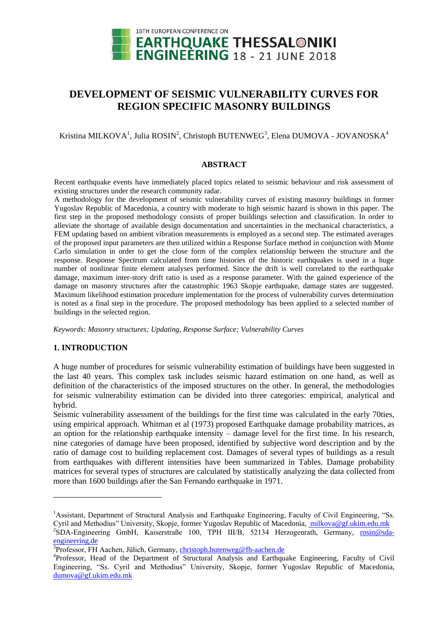

# **DEVELOPMENT OF SEISMIC VULNERABILITY CURVES FOR REGION SPECIFIC MASONRY BUILDINGS**

Kristina MILKOVA<sup>1</sup>, Julia ROSIN<sup>2</sup>, Christoph BUTENWEG<sup>3</sup>, Elena DUMOVA - JOVANOSKA<sup>4</sup>

#### **ABSTRACT**

Recent earthquake events have immediately placed topics related to seismic behaviour and risk assessment of existing structures under the research community radar.

A methodology for the development of seismic vulnerability curves of existing masonry buildings in former Yugoslav Republic of Macedonia, a country with moderate to high seismic hazard is shown in this paper. The first step in the proposed methodology consists of proper buildings selection and classification. In order to alleviate the shortage of available design documentation and uncertainties in the mechanical characteristics, a FEM updating based on ambient vibration measurements is employed as a second step. The estimated averages of the proposed input parameters are then utilized within a Response Surface method in conjunction with Monte Carlo simulation in order to get the close form of the complex relationship between the structure and the response. Response Spectrum calculated from time histories of the historic earthquakes is used in a huge number of nonlinear finite element analyses performed. Since the drift is well correlated to the earthquake damage, maximum inter-story drift ratio is used as a response parameter. With the gained experience of the damage on masonry structures after the catastrophic 1963 Skopje earthquake, damage states are suggested. Maximum likelihood estimation procedure implementation for the process of vulnerability curves determination is noted as a final step in the procedure. The proposed methodology has been applied to a selected number of buildings in the selected region.

*Keywords: Masonry structures; Updating, Response Surface; Vulnerability Curves*

### **1. INTRODUCTION**

1

A huge number of procedures for seismic vulnerability estimation of buildings have been suggested in the last 40 years. This complex task includes seismic hazard estimation on one hand, as well as definition of the characteristics of the imposed structures on the other. In general, the methodologies for seismic vulnerability estimation can be divided into three categories: empirical, analytical and hybrid.

Seismic vulnerability assessment of the buildings for the first time was calculated in the early 70ties, using empirical approach. Whitman et al (1973) proposed Earthquake damage probability matrices, as an option for the relationship earthquake intensity – damage level for the first time. In his research, nine categories of damage have been proposed, identified by subjective word description and by the ratio of damage cost to building replacement cost. Damages of several types of buildings as a result from earthquakes with different intensities have been summarized in Tables. Damage probability matrices for several types of structures are calculated by statistically analyzing the data collected from more than 1600 buildings after the San Fernando earthquake in 1971.

<sup>1</sup>Assistant, Department of Structural Analysis and Earthquake Engineering, Faculty of Civil Engineering, "Ss. Cyril and Methodius" University, Skopje, former Yugoslav Republic of Macedonia, [milkova@gf.ukim.edu.mk](mailto:emailaddress@canterbury.ac.nz)

<sup>&</sup>lt;sup>2</sup>SDA-Engineering GmbH, Kaiserstraße 100, TPH III/B, 52134 Herzogenrath, Germany, [rosin@sda](mailto:rosin@sda-engineering.de)[engineering.de](mailto:rosin@sda-engineering.de)

<sup>&</sup>lt;sup>3</sup>Professor, FH Aachen, Jülich, Germany, [christoph.butenweg@fh-aachen.de](javascript:linkTo_UnCryptMailto()

<sup>4</sup> Professor, Head of the Department of Structural Analysis and Earthquake Engineering, Faculty of Civil Engineering, "Ss. Cyril and Methodius" University, Skopje, former Yugoslav Republic of Macedonia, [dumova@gf.ukim.edu.mk](mailto:emailaddress1@canterbury.ac.nz)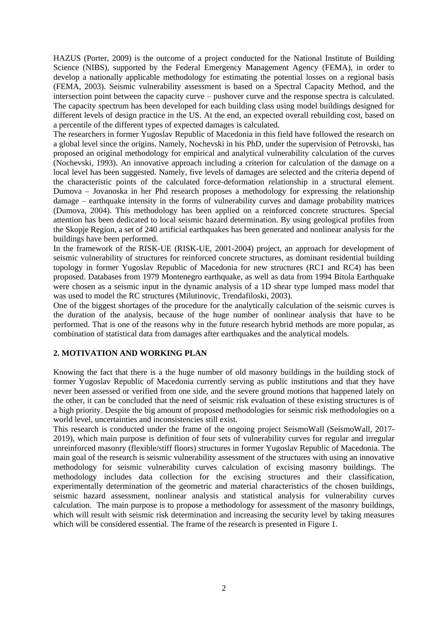HAZUS (Porter, 2009) is the outcome of a project conducted for the National Institute of Building Science (NIBS), supported by the Federal Emergency Management Agency (FEMA), in order to develop a nationally applicable methodology for estimating the potential losses on a regional basis (FEMA, 2003). Seismic vulnerability assessment is based on a Spectral Capacity Method, and the intersection point between the capacity curve – pushover curve and the response spectra is calculated. The capacity spectrum has been developed for each building class using model buildings designed for different levels of design practice in the US. At the end, an expected overall rebuilding cost, based on a percentile of the different types of expected damages is calculated.

The researchers in former Yugoslav Republic of Macedonia in this field have followed the research on a global level since the origins. Namely, Nochevski in his PhD, under the supervision of Petrovski, has proposed an original methodology for empirical and analytical vulnerability calculation of the curves (Nochevski, 1993). An innovative approach including a criterion for calculation of the damage on a local level has been suggested. Namely, five levels of damages are selected and the criteria depend of the characteristic points of the calculated force-deformation relationship in a structural element. Dumova – Jovanoska in her Phd research proposes a methodology for expressing the relationship damage – earthquake intensity in the forms of vulnerability curves and damage probability matrices (Dumova, 2004). This methodology has been applied on a reinforced concrete structures. Special attention has been dedicated to local seismic hazard determination. By using geological profiles from the Skopje Region, a set of 240 artificial earthquakes has been generated and nonlinear analysis for the buildings have been performed.

In the framework of the RISK-UE (RISK-UE, 2001-2004) project, an approach for development of seismic vulnerability of structures for reinforced concrete structures, as dominant residential building topology in former Yugoslav Republic of Macedonia for new structures (RC1 and RC4) has been proposed. Databases from 1979 Montenegro earthquake, as well as data from 1994 Bitola Earthquake were chosen as a seismic input in the dynamic analysis of a 1D shear type lumped mass model that was used to model the RC structures (Milutinovic, Trendafiloski, 2003).

One of the biggest shortages of the procedure for the analytically calculation of the seismic curves is the duration of the analysis, because of the huge number of nonlinear analysis that have to be performed. That is one of the reasons why in the future research hybrid methods are more popular, as combination of statistical data from damages after earthquakes and the analytical models.

## **2. MOTIVATION AND WORKING PLAN**

Knowing the fact that there is a the huge number of old masonry buildings in the building stock of former Yugoslav Republic of Macedonia currently serving as public institutions and that they have never been assessed or verified from one side, and the severe ground motions that happened lately on the other, it can be concluded that the need of seismic risk evaluation of these existing structures is of a high priority. Despite the big amount of proposed methodologies for seismic risk methodologies on a world level, uncertainties and inconsistencies still exist.

This research is conducted under the frame of the ongoing project SeismoWall (SeismoWall, 2017- 2019), which main purpose is definition of four sets of vulnerability curves for regular and irregular unreinforced masonry (flexible/stiff floors) structures in former Yugoslav Republic of Macedonia. The main goal of the research is seismic vulnerability assessment of the structures with using an innovative methodology for seismic vulnerability curves calculation of excising masonry buildings. The methodology includes data collection for the excising structures and their classification, experimentally determination of the geometric and material characteristics of the chosen buildings, seismic hazard assessment, nonlinear analysis and statistical analysis for vulnerability curves calculation. The main purpose is to propose a methodology for assessment of the masonry buildings, which will result with seismic risk determination and increasing the security level by taking measures which will be considered essential. The frame of the research is presented in Figure 1.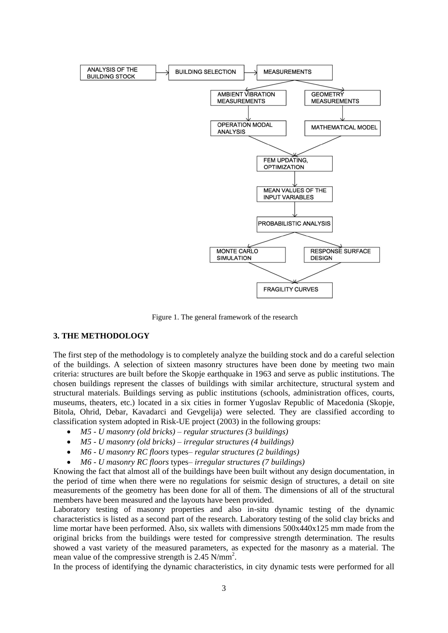

Figure 1. The general framework of the research

### **3. THE METHODOLOGY**

The first step of the methodology is to completely analyze the building stock and do a careful selection of the buildings. A selection of sixteen masonry structures have been done by meeting two main criteria: structures are built before the Skopje earthquake in 1963 and serve as public institutions. The chosen buildings represent the classes of buildings with similar architecture, structural system and structural materials. Buildings serving as public institutions (schools, administration offices, courts, museums, theaters, etc.) located in a six cities in former Yugoslav Republic of Macedonia (Skopje, Bitola, Ohrid, Debar, Kavadarci and Gevgelija) were selected. They are classified according to classification system adopted in Risk-UE project (2003) in the following groups:

- *M5 - U masonry (old bricks) – regular structures (3 buildings)*
- *M5 - U masonry (old bricks) – irregular structures (4 buildings)*
- *M6 - U masonry RC floors* types*– regular structures (2 buildings)*
- *M6 - U masonry RC floors* types*– irregular structures (7 buildings)*

Knowing the fact that almost all of the buildings have been built without any design documentation, in the period of time when there were no regulations for seismic design of structures, a detail on site measurements of the geometry has been done for all of them. The dimensions of all of the structural members have been measured and the layouts have been provided.

Laboratory testing of masonry properties and also in-situ dynamic testing of the dynamic characteristics is listed as a second part of the research. Laboratory testing of the solid clay bricks and lime mortar have been performed. Also, six wallets with dimensions 500x440x125 mm made from the original bricks from the buildings were tested for compressive strength determination. The results showed a vast variety of the measured parameters, as expected for the masonry as a material. The mean value of the compressive strength is  $2.45$  N/mm<sup>2</sup>.

In the process of identifying the dynamic characteristics, in city dynamic tests were performed for all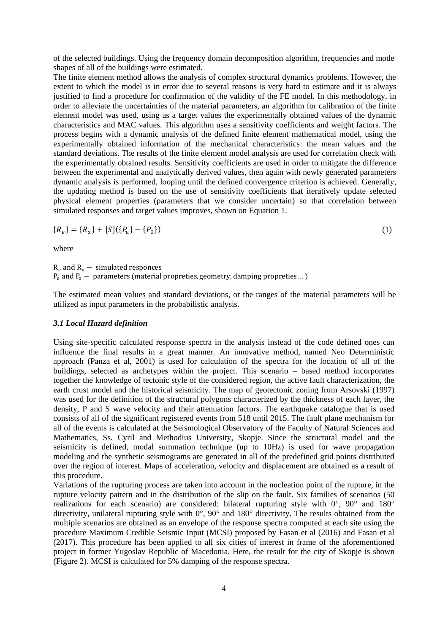of the selected buildings. Using the frequency domain decomposition algorithm, frequencies and mode shapes of all of the buildings were estimated.

The finite element method allows the analysis of complex structural dynamics problems. However, the extent to which the model is in error due to several reasons is very hard to estimate and it is always justified to find a procedure for confirmation of the validity of the FE model. In this methodology, in order to alleviate the uncertainties of the material parameters, an algorithm for calibration of the finite element model was used, using as a target values the experimentally obtained values of the dynamic characteristics and MAC values. This algorithm uses a sensitivity coefficients and weight factors. The process begins with a dynamic analysis of the defined finite element mathematical model, using the experimentally obtained information of the mechanical characteristics: the mean values and the standard deviations. The results of the finite element model analysis are used for correlation check with the experimentally obtained results. Sensitivity coefficients are used in order to mitigate the difference between the experimental and analytically derived values, then again with newly generated parameters dynamic analysis is performed, looping until the defined convergence criterion is achieved. Generally, the updating method is based on the use of sensitivity coefficients that iteratively update selected physical element properties (parameters that we consider uncertain) so that correlation between simulated responses and target values improves, shown on Equation 1.

$$
\{R_e\} = \{R_a\} + [S](\{P_u\} - \{P_0\})
$$
\n<sup>(1)</sup>

where

 $R_e$  and  $R_a$  – simulated responces

 $P_u$  and  $P_o$  – parameters (material propreties, geometry, damping propreties ...)

The estimated mean values and standard deviations, or the ranges of the material parameters will be utilized as input parameters in the probabilistic analysis.

### *3.1 Local Hazard definition*

Using site-specific calculated response spectra in the analysis instead of the code defined ones can influence the final results in a great manner. An innovative method, named Neo Deterministic approach (Panza et al, 2001) is used for calculation of the spectra for the location of all of the buildings, selected as archetypes within the project. This scenario – based method incorporates together the knowledge of tectonic style of the considered region, the active fault characterization, the earth crust model and the historical seismicity. The map of geotectonic zoning from Arsovski (1997) was used for the definition of the structural polygons characterized by the thickness of each layer, the density, P and S wave velocity and their attenuation factors. The earthquake catalogue that is used consists of all of the significant registered events from 518 until 2015. The fault plane mechanism for all of the events is calculated at the Seismological Observatory of the Faculty of Natural Sciences and Mathematics, Ss. Cyril and Methodius University, Skopje. Since the structural model and the seismicity is defined, modal summation technique (up to 10Hz) is used for wave propagation modeling and the synthetic seismograms are generated in all of the predefined grid points distributed over the region of interest. Maps of acceleration, velocity and displacement are obtained as a result of this procedure.

Variations of the rupturing process are taken into account in the nucleation point of the rupture, in the rupture velocity pattern and in the distribution of the slip on the fault. Six families of scenarios (50 realizations for each scenario) are considered: bilateral rupturing style with 0°, 90° and 180° directivity, unilateral rupturing style with 0°, 90° and 180° directivity. The results obtained from the multiple scenarios are obtained as an envelope of the response spectra computed at each site using the procedure Maximum Credible Seismic Input (MCSI) proposed by Fasan et al (2016) and Fasan et al (2017). This procedure has been applied to all six cities of interest in frame of the aforementioned project in former Yugoslav Republic of Macedonia. Here, the result for the city of Skopje is shown (Figure 2). MCSI is calculated for 5% damping of the response spectra.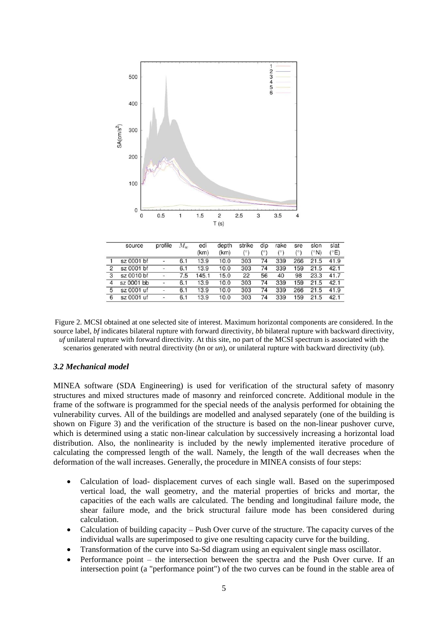

|   |            |                          | $\sim$ | (km)  | (km) | $\mathfrak{g}$ |    |     |     | (°N  | (°E) |
|---|------------|--------------------------|--------|-------|------|----------------|----|-----|-----|------|------|
|   | sz 0001 bf | $\overline{\phantom{a}}$ | 6.1    | 13.9  | 10.0 | 303            | 74 | 339 | 266 | 21.5 | 41.9 |
|   | sz 0001 bf | $\overline{\phantom{a}}$ | 6.1    | 13.9  | 10.0 | 303            | 74 | 339 | 159 | 21.5 | 42.1 |
| 3 | sz 0010 bf | $\overline{\phantom{a}}$ | 7.5    | 145.1 | 15.0 | 22             | 56 | 40  | 98  | 23.3 | 41.7 |
|   | sz 0001 bb | $\overline{\phantom{a}}$ | 6.1    | 13.9  | 10.0 | 303            | 74 | 339 | 159 | 21.5 | 42.1 |
|   | sz 0001 uf | -                        | 6.1    | 13.9  | 10.0 | 303            | 74 | 339 | 266 | 21.5 | 41.9 |
|   | sz 0001 uf | $\overline{\phantom{a}}$ | 6.1    | 13.9  | 10.0 | 303            | 74 | 339 | 159 | 21.5 | 42.1 |

 $s$ lat

 $s$ lon



#### *3.2 Mechanical model*

MINEA software (SDA Engineering) is used for verification of the structural safety of masonry structures and mixed structures made of masonry and reinforced concrete. Additional module in the frame of the software is programmed for the special needs of the analysis performed for obtaining the vulnerability curves. All of the buildings are modelled and analysed separately (one of the building is shown on Figure 3) and the verification of the structure is based on the non-linear pushover curve, which is determined using a static non-linear calculation by successively increasing a horizontal load distribution. Also, the nonlinearity is included by the newly implemented iterative procedure of calculating the compressed length of the wall. Namely, the length of the wall decreases when the deformation of the wall increases. Generally, the procedure in MINEA consists of four steps:

- Calculation of load- displacement curves of each single wall. Based on the superimposed vertical load, the wall geometry, and the material properties of bricks and mortar, the capacities of the each walls are calculated. The bending and longitudinal failure mode, the shear failure mode, and the brick structural failure mode has been considered during calculation.
- Calculation of building capacity Push Over curve of the structure. The capacity curves of the individual walls are superimposed to give one resulting capacity curve for the building.
- Transformation of the curve into Sa-Sd diagram using an equivalent single mass oscillator.
- Performance point the intersection between the spectra and the Push Over curve. If an intersection point (a "performance point") of the two curves can be found in the stable area of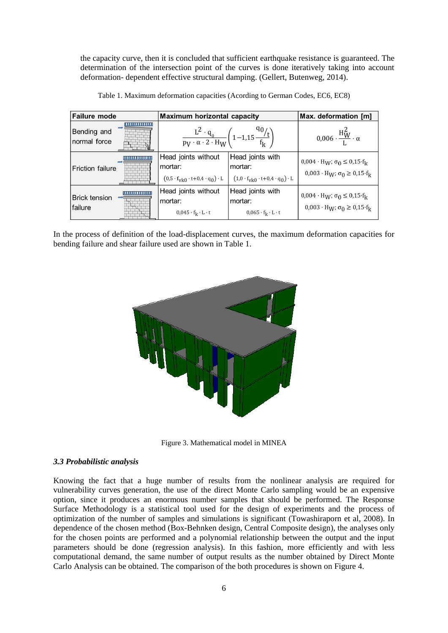the capacity curve, then it is concluded that sufficient earthquake resistance is guaranteed. The determination of the intersection point of the curves is done iteratively taking into account deformation- dependent effective structural damping. (Gellert, Butenweg, 2014).

| <b>Failure mode</b>                              | <b>Maximum horizontal capacity</b>                                                             | Max. deformation [m]                                                                             |                                                                                                         |  |
|--------------------------------------------------|------------------------------------------------------------------------------------------------|--------------------------------------------------------------------------------------------------|---------------------------------------------------------------------------------------------------------|--|
| Bending and<br>normal force                      |                                                                                                | $\frac{L^2 \cdot q_0}{p_V \cdot \alpha \cdot 2 \cdot H_W} \left(1 - 1.15 \frac{q_0}{f_k}\right)$ | $0.006 \cdot \frac{H_W^2}{I} \cdot \alpha$                                                              |  |
| <b>Friction failure</b>                          | Head joints without<br>mortar:<br>$(0.5 \cdot f_{\text{v}k0} \cdot t + 0.4 \cdot q_0) \cdot L$ | Head joints with<br>mortar:<br>$(1.0 \cdot f_{\text{v}k0} \cdot t + 0.4 \cdot q_0) \cdot L$      | $0.004 \cdot H_W$ ; $\sigma_0 \leq 0.15 \cdot f_k$<br>$0.003 \cdot H_W$ ; $\sigma_0 \ge 0.15 \cdot f_k$ |  |
| 0.000.000.000<br><b>Brick tension</b><br>failure | Head joints without<br>mortar:<br>$0.045 \cdot f_k \cdot L \cdot t$                            | Head joints with<br>mortar:<br>$0.065 \cdot f_k \cdot L \cdot t$                                 | $0.004 \cdot H_W$ ; $\sigma_0 \leq 0.15 \cdot f_k$<br>$0.003 \cdot H_W$ ; $\sigma_0 \ge 0.15 \cdot f_k$ |  |

Table 1. Maximum deformation capacities (Acording to German Codes, EC6, EC8)

In the process of definition of the load-displacement curves, the maximum deformation capacities for bending failure and shear failure used are shown in Table 1.



Figure 3. Mathematical model in MINEA

#### *3.3 Probabilistic analysis*

Knowing the fact that a huge number of results from the nonlinear analysis are required for vulnerability curves generation, the use of the direct Monte Carlo sampling would be an expensive option, since it produces an enormous number samples that should be performed. The Response Surface Methodology is a statistical tool used for the design of experiments and the process of optimization of the number of samples and simulations is significant (Towashiraporn et al, 2008). In dependence of the chosen method (Box-Behnken design, Central Composite design), the analyses only for the chosen points are performed and a polynomial relationship between the output and the input parameters should be done (regression analysis). In this fashion, more efficiently and with less computational demand, the same number of output results as the number obtained by Direct Monte Carlo Analysis can be obtained. The comparison of the both procedures is shown on Figure 4.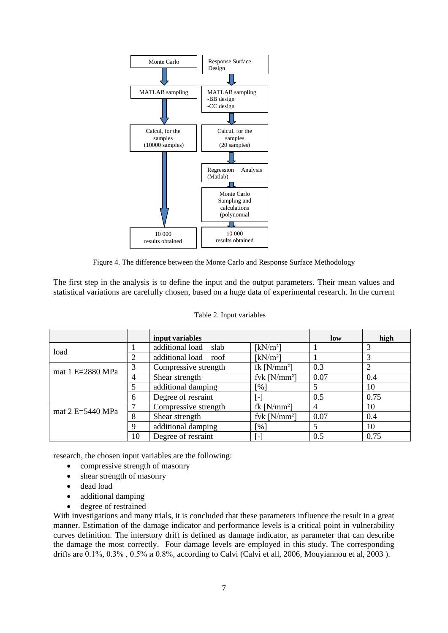

Figure 4. The difference between the Monte Carlo and Response Surface Methodology

The first step in the analysis is to define the input and the output parameters. Their mean values and statistical variations are carefully chosen, based on a huge data of experimental research. In the current

|                    |                | input variables        | low                      | high |      |
|--------------------|----------------|------------------------|--------------------------|------|------|
| load               |                | additional load - slab | $[kN/m^2]$               |      | 3    |
|                    | 2              | additional load - roof | $[kN/m^2]$               |      | 3    |
| mat $1 E=2880 MPa$ | 3              | Compressive strength   | fk $[N/mm^2]$            | 0.3  |      |
|                    | $\overline{4}$ | Shear strength         | fvk $[N/mm^2]$           | 0.07 | 0.4  |
|                    |                | additional damping     | [%]                      |      | 10   |
|                    | 6              | Degree of resraint     | $\overline{\phantom{a}}$ | 0.5  | 0.75 |
| mat $2$ E=5440 MPa |                | Compressive strength   | fk $[N/mm^2]$            |      | 10   |
|                    | 8              | Shear strength         | fvk $[N/mm^2]$           | 0.07 | 0.4  |
|                    | Q              | additional damping     | [%]                      |      | 10   |
|                    | 10             | Degree of resraint     | $\overline{\phantom{a}}$ | 0.5  | 0.75 |

Table 2. Input variables

research, the chosen input variables are the following:

- compressive strength of masonry
- shear strength of masonry
- dead load
- additional damping
- degree of restrained

With investigations and many trials, it is concluded that these parameters influence the result in a great manner. Estimation of the damage indicator and performance levels is a critical point in vulnerability curves definition. The interstory drift is defined as damage indicator, as parameter that can describe the damage the most correctly. Four damage levels are employed in this study. The corresponding drifts are 0.1%, 0.3% , 0.5% и 0.8%, according to Calvi (Calvi et all, 2006, Mouyiannou et al, 2003 ).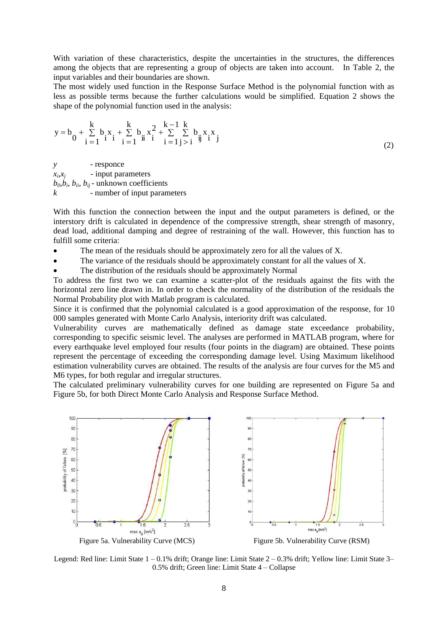With variation of these characteristics, despite the uncertainties in the structures, the differences among the objects that are representing a group of objects are taken into account. In Table 2, the input variables and their boundaries are shown.

The most widely used function in the Response Surface Method is the polynomial function with as less as possible terms because the further calculations would be simplified. Equation 2 shows the shape of the polynomial function used in the analysis:

$$
y = b_0 + \sum_{i=1}^{k} b_i x_i + \sum_{i=1}^{k} b_i x_i^2 + \sum_{i=1}^{k-1} \sum_{j>i}^{k} b_i x_i x_j
$$
(2)

*y* - responce  $x_i, x_j$  - input parameters  $b_0, b_i, b_{ii}, b_{ij}$  - unknown coefficients *k* - number of input parameters

With this function the connection between the input and the output parameters is defined, or the interstory drift is calculated in dependence of the compressive strength, shear strength of masonry, dead load, additional damping and degree of restraining of the wall. However, this function has to fulfill some criteria:

- The mean of the residuals should be approximately zero for all the values of X.
- The variance of the residuals should be approximately constant for all the values of X.
- The distribution of the residuals should be approximately Normal

To address the first two we can examine a scatter-plot of the residuals against the fits with the horizontal zero line drawn in. In order to check the normality of the distribution of the residuals the Normal Probability plot with Matlab program is calculated.

Since it is confirmed that the polynomial calculated is a good approximation of the response, for 10 000 samples generated with Monte Carlo Analysis, interiority drift was calculated.

Vulnerability curves are mathematically defined as damage state exceedance probability, corresponding to specific seismic level. The analyses are performed in MATLAB program, where for every earthquake level employed four results (four points in the diagram) are obtained. These points represent the percentage of exceeding the corresponding damage level. Using Maximum likelihood estimation vulnerability curves are obtained. The results of the analysis are four curves for the M5 and M6 types, for both regular and irregular structures.

The calculated preliminary vulnerability curves for one building are represented on Figure 5a and Figure 5b, for both Direct Monte Carlo Analysis and Response Surface Method.



Figure 5a. Vulnerability Curve (MCS) Figure 5b. Vulnerability Curve (RSM)

Legend: Red line: Limit State 1 – 0.1% drift; Orange line: Limit State 2 – 0.3% drift; Yellow line: Limit State 3– 0.5% drift; Green line: Limit State 4 – Collapse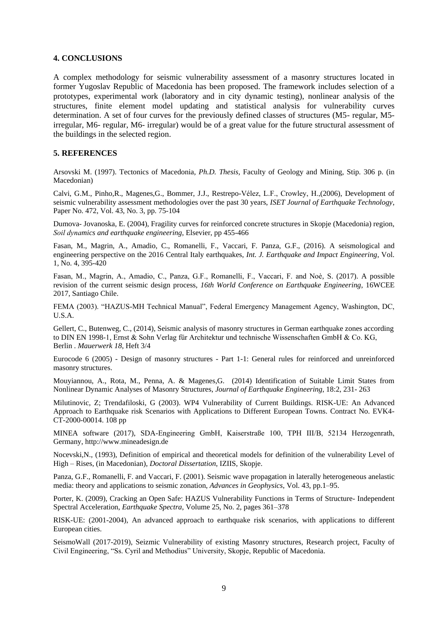## **4. CONCLUSIONS**

A complex methodology for seismic vulnerability assessment of a masonry structures located in former Yugoslav Republic of Macedonia has been proposed. The framework includes selection of a prototypes, experimental work (laboratory and in city dynamic testing), nonlinear analysis of the structures, finite element model updating and statistical analysis for vulnerability curves determination. A set of four curves for the previously defined classes of structures (M5- regular, M5 irregular, M6- regular, M6- irregular) would be of a great value for the future structural assessment of the buildings in the selected region.

#### **5. REFERENCES**

Arsovski M. (1997). Tectonics of Macedonia, *Ph.D. Thesis,* Faculty of Geology and Mining, Stip. 306 p. (in Macedonian)

Calvi, G.M., Pinho,R., Magenes,G., Bommer, J.J., Restrepo-Vélez, L.F., Crowley, H.,(2006), Development of seismic vulnerability assessment methodologies over the past 30 years, *ISET Journal of Earthquake Technology*, Paper No. 472, Vol. 43, No. 3, pp. 75-104

Dumova- Jovanoska, E. (2004), Fragility curves for reinforced concrete structures in Skopje (Macedonia) region, *Soil dynаmics and earthquake engineering*, Elsevier, pp 455-466

Fasan, M., Magrin, A., Amadio, C., Romanelli, F., Vaccari, F. Panza, G.F., (2016). A seismological and engineering perspective on the 2016 Central Italy earthquakes, *Int. J. Earthquake and Impact Engineering*, Vol. 1, No. 4, 395-420

Fasan, M., Magrin, A., Amadio, C., Panza, G.F., Romanelli, F., Vaccari, F. and Noè, S. (2017). A possible revision of the current seismic design process, *16th World Conference on Earthquake Engineering*, 16WCEE 2017, Santiago Chile.

FEMA (2003). "HAZUS-MH Technical Manual", Federal Emergency Management Agency, Washington, DC, U.S.A.

Gellert, C., Butenweg, C., (2014), Seismic analysis of masonry structures in German earthquake zones according to DIN EN 1998-1, Ernst & Sohn Verlag für Architektur und technische Wissenschaften GmbH & Co. KG, Berlin . *Mauerwerk 18*, Heft 3/4

Eurocode 6 (2005) - Design of masonry structures - Part 1-1: General rules for reinforced and unreinforced masonry structures.

Mouyiannou, A., Rota, M., Penna, A. & Magenes,G. (2014) Identification of Suitable Limit States from Nonlinear Dynamic Analyses of Masonry Structures, *Journal of Earthquake Engineering*, 18:2, 231- 263

Milutinovic, Z; Trendafiloski, G (2003). WP4 Vulnerability of Current Buildings. RISK-UE: An Advanced Approach to Earthquake risk Scenarios with Applications to Different European Towns. Contract No. EVK4- CT-2000-00014. 108 pp

MINEA software (2017), SDA-Engineering GmbH, Kaiserstraße 100, TPH III/B, 52134 Herzogenrath, Germany, http://www.mineadesign.de

Nocevski,N., (1993), Definition of empirical and theoretical models for definition of the vulnerability Level of High – Rises, (in Macedonian), *Doctoral Dissertation*, IZIIS, Skopje.

Panza, G.F., Romanelli, F. and Vaccari, F. (2001). Seismic wave propagation in laterally heterogeneous anelastic media: theory and applications to seismic zonation, *Advances in Geophysics*, Vol. 43, pp.1–95.

Porter, K. (2009), Cracking an Open Safe: HAZUS Vulnerability Functions in Terms of Structure- Independent Spectral Acceleration, *Earthquake Spectra*, Volume 25, No. 2, pages 361–378

RISK-UE: (2001-2004), An advanced approach to earthquake risk scenarios, with applications to different European cities.

SeismoWall (2017-2019), Seizmic Vulnerability of existing Masonry structures, Research project, Faculty of Civil Engineering, "Ss. Cyril and Methodius" University, Skopje, Republic of Macedonia.